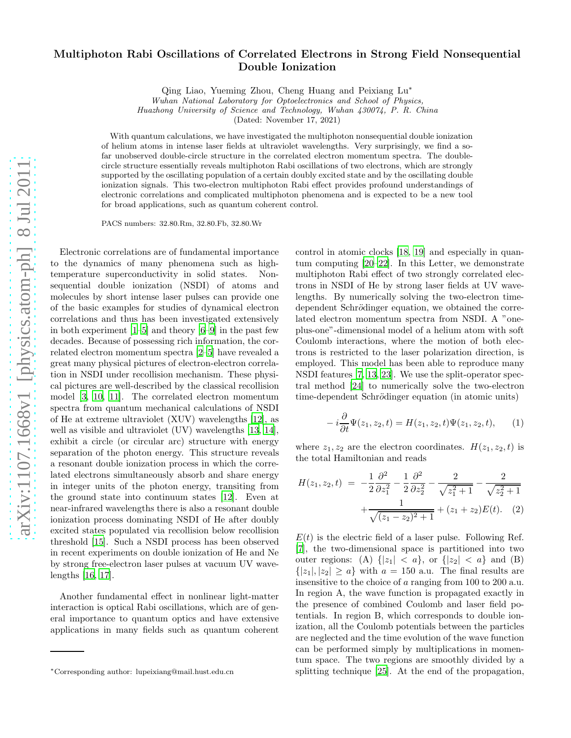## Multiphoton Rabi Oscillations of Correlated Electrons in Strong Field Nonsequential Double Ionization

Qing Liao, Yueming Zhou, Cheng Huang and Peixiang Lu<sup>∗</sup>

Wuhan National Laboratory for Optoelectronics and School of Physics,

Huazhong University of Science and Technology, Wuhan 430074, P. R. China

(Dated: November 17, 2021)

With quantum calculations, we have investigated the multiphoton nonsequential double ionization of helium atoms in intense laser fields at ultraviolet wavelengths. Very surprisingly, we find a sofar unobserved double-circle structure in the correlated electron momentum spectra. The doublecircle structure essentially reveals multiphoton Rabi oscillations of two electrons, which are strongly supported by the oscillating population of a certain doubly excited state and by the oscillating double ionization signals. This two-electron multiphoton Rabi effect provides profound understandings of electronic correlations and complicated multiphoton phenomena and is expected to be a new tool for broad applications, such as quantum coherent control.

PACS numbers: 32.80.Rm, 32.80.Fb, 32.80.Wr

Electronic correlations are of fundamental importance to the dynamics of many phenomena such as hightemperature superconductivity in solid states. Nonsequential double ionization (NSDI) of atoms and molecules by short intense laser pulses can provide one of the basic examples for studies of dynamical electron correlations and thus has been investigated extensively in both experiment [\[1](#page-3-0)[–5](#page-3-1)] and theory [\[6](#page-3-2)[–9](#page-3-3)] in the past few decades. Because of possessing rich information, the correlated electron momentum spectra [\[2](#page-3-4)[–5\]](#page-3-1) have revealed a great many physical pictures of electron-electron correlation in NSDI under recollision mechanism. These physical pictures are well-described by the classical recollision model [\[3,](#page-3-5) [10](#page-3-6), [11\]](#page-3-7). The correlated electron momentum spectra from quantum mechanical calculations of NSDI of He at extreme ultraviolet (XUV) wavelengths [\[12](#page-3-8)], as well as visible and ultraviolet (UV) wavelengths [\[13,](#page-3-9) [14\]](#page-3-10), exhibit a circle (or circular arc) structure with energy separation of the photon energy. This structure reveals a resonant double ionization process in which the correlated electrons simultaneously absorb and share energy in integer units of the photon energy, transiting from the ground state into continuum states [\[12](#page-3-8)]. Even at near-infrared wavelengths there is also a resonant double ionization process dominating NSDI of He after doubly excited states populated via recollision below recollision threshold [\[15\]](#page-3-11). Such a NSDI process has been observed in recent experiments on double ionization of He and Ne by strong free-electron laser pulses at vacuum UV wavelengths [\[16](#page-3-12), [17](#page-3-13)].

Another fundamental effect in nonlinear light-matter interaction is optical Rabi oscillations, which are of general importance to quantum optics and have extensive applications in many fields such as quantum coherent

control in atomic clocks [\[18,](#page-3-14) [19](#page-3-15)] and especially in quantum computing [\[20](#page-3-16)[–22\]](#page-3-17). In this Letter, we demonstrate multiphoton Rabi effect of two strongly correlated electrons in NSDI of He by strong laser fields at UV wavelengths. By numerically solving the two-electron timedependent Schrödinger equation, we obtained the correlated electron momentum spectra from NSDI. A "oneplus-one"-dimensional model of a helium atom with soft Coulomb interactions, where the motion of both electrons is restricted to the laser polarization direction, is employed. This model has been able to reproduce many NSDI features [\[7](#page-3-18), [13,](#page-3-9) [23](#page-3-19)]. We use the split-operator spectral method [\[24\]](#page-4-0) to numerically solve the two-electron time-dependent Schrödinger equation (in atomic units)

$$
-i\frac{\partial}{\partial t}\Psi(z_1, z_2, t) = H(z_1, z_2, t)\Psi(z_1, z_2, t), \qquad (1)
$$

where  $z_1, z_2$  are the electron coordinates.  $H(z_1, z_2, t)$  is the total Hamiltonian and reads

$$
H(z_1, z_2, t) = -\frac{1}{2} \frac{\partial^2}{\partial z_1^2} - \frac{1}{2} \frac{\partial^2}{\partial z_2^2} - \frac{2}{\sqrt{z_1^2 + 1}} - \frac{2}{\sqrt{z_2^2 + 1}} + \frac{1}{\sqrt{(z_1 - z_2)^2 + 1}} + (z_1 + z_2)E(t).
$$
 (2)

 $E(t)$  is the electric field of a laser pulse. Following Ref. [\[7\]](#page-3-18), the two-dimensional space is partitioned into two outer regions: (A)  $\{|z_1| < a\}$ , or  $\{|z_2| < a\}$  and (B)  $\{|z_1|, |z_2| \ge a\}$  with  $a = 150$  a.u. The final results are insensitive to the choice of a ranging from 100 to 200 a.u. In region A, the wave function is propagated exactly in the presence of combined Coulomb and laser field potentials. In region B, which corresponds to double ionization, all the Coulomb potentials between the particles are neglected and the time evolution of the wave function can be performed simply by multiplications in momentum space. The two regions are smoothly divided by a splitting technique [\[25\]](#page-4-1). At the end of the propagation,

<sup>∗</sup>Corresponding author: lupeixiang@mail.hust.edu.cn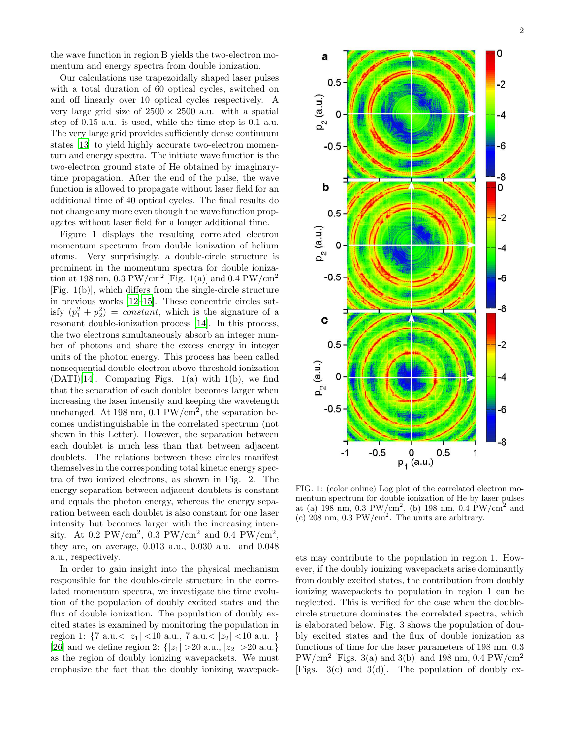the wave function in region B yields the two-electron momentum and energy spectra from double ionization.

Our calculations use trapezoidally shaped laser pulses with a total duration of 60 optical cycles, switched on and off linearly over 10 optical cycles respectively. A very large grid size of  $2500 \times 2500$  a.u. with a spatial step of 0.15 a.u. is used, while the time step is 0.1 a.u. The very large grid provides sufficiently dense continuum states [\[13](#page-3-9)] to yield highly accurate two-electron momentum and energy spectra. The initiate wave function is the two-electron ground state of He obtained by imaginarytime propagation. After the end of the pulse, the wave function is allowed to propagate without laser field for an additional time of 40 optical cycles. The final results do not change any more even though the wave function propagates without laser field for a longer additional time.

Figure 1 displays the resulting correlated electron momentum spectrum from double ionization of helium atoms. Very surprisingly, a double-circle structure is prominent in the momentum spectra for double ionization at 198 nm, 0.3 PW/cm<sup>2</sup> [Fig. 1(a)] and 0.4 PW/cm<sup>2</sup> [Fig. 1(b)], which differs from the single-circle structure in previous works [\[12](#page-3-8)[–15](#page-3-11)]. These concentric circles satisfy  $(p_1^2 + p_2^2) = constant$ , which is the signature of a resonant double-ionization process [\[14\]](#page-3-10). In this process, the two electrons simultaneously absorb an integer number of photons and share the excess energy in integer units of the photon energy. This process has been called nonsequential double-electron above-threshold ionization  $(DATI)[14]$  $(DATI)[14]$  $(DATI)[14]$ . Comparing Figs. 1(a) with 1(b), we find that the separation of each doublet becomes larger when increasing the laser intensity and keeping the wavelength unchanged. At 198 nm,  $0.1$  PW/cm<sup>2</sup>, the separation becomes undistinguishable in the correlated spectrum (not shown in this Letter). However, the separation between each doublet is much less than that between adjacent doublets. The relations between these circles manifest themselves in the corresponding total kinetic energy spectra of two ionized electrons, as shown in Fig. 2. The energy separation between adjacent doublets is constant and equals the photon energy, whereas the energy separation between each doublet is also constant for one laser intensity but becomes larger with the increasing intensity. At 0.2 PW/cm<sup>2</sup>, 0.3 PW/cm<sup>2</sup> and 0.4 PW/cm<sup>2</sup>, they are, on average, 0.013 a.u., 0.030 a.u. and 0.048 a.u., respectively.

In order to gain insight into the physical mechanism responsible for the double-circle structure in the correlated momentum spectra, we investigate the time evolution of the population of doubly excited states and the flux of double ionization. The population of doubly excited states is examined by monitoring the population in region 1:  $\{7 \text{ a.u.} < |z_1| < 10 \text{ a.u.}, 7 \text{ a.u.} < |z_2| < 10 \text{ a.u.} \}$ [\[26\]](#page-4-2) and we define region 2:  $\{|z_1| > 20$  a.u.,  $|z_2| > 20$  a.u.} as the region of doubly ionizing wavepackets. We must emphasize the fact that the doubly ionizing wavepack-



FIG. 1: (color online) Log plot of the correlated electron momentum spectrum for double ionization of He by laser pulses at (a)  $198 \text{ nm}$ , 0.3 PW/cm<sup>2</sup>, (b) 198 nm, 0.4 PW/cm<sup>2</sup> and (c)  $208$  nm,  $0.3$  PW/cm<sup>2</sup>. The units are arbitrary.

ets may contribute to the population in region 1. However, if the doubly ionizing wavepackets arise dominantly from doubly excited states, the contribution from doubly ionizing wavepackets to population in region 1 can be neglected. This is verified for the case when the doublecircle structure dominates the correlated spectra, which is elaborated below. Fig. 3 shows the population of doubly excited states and the flux of double ionization as functions of time for the laser parameters of 198 nm, 0.3  $PW/cm^2$  [Figs. 3(a) and 3(b)] and 198 nm, 0.4 PW/cm<sup>2</sup> [Figs.  $3(c)$  and  $3(d)$ ]. The population of doubly ex-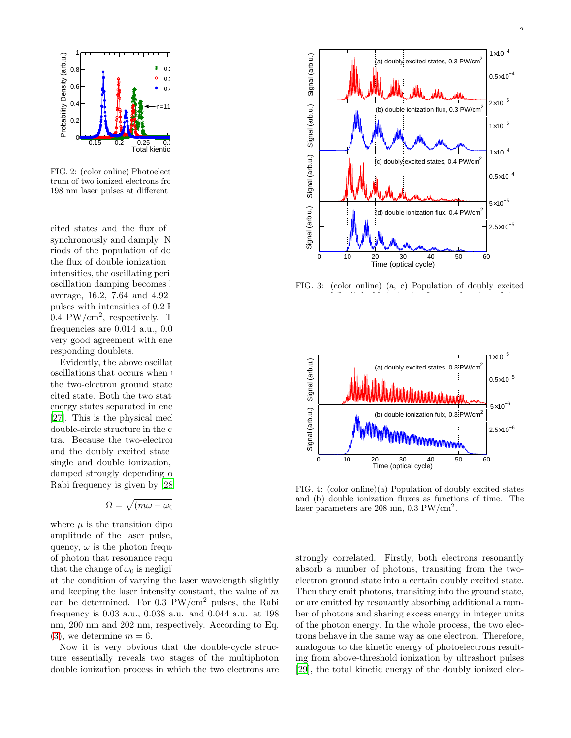



FIG. 2: (color online) Photoelect trum of two ionized electrons from 198 nm laser pulses at different

cited states and the flux of synchronously and damply. N riods of the population of do the flux of double ionization intensities, the oscillating peri oscillation damping becomes average,  $16.2$ ,  $7.64$  and  $4.92$ pulses with intensities of  $0.2$  I  $0.4$  PW/cm<sup>2</sup>, respectively. The corresponding  $1$ frequencies are  $0.014$  a.u.,  $0.0$ very good agreement with ene responding doublets.

Evidently, the above oscillations are the so-called Rabi oscillations that occurs when  $\pm$ the two-electron ground state cited state. Both the two states energy states separated in ene [\[27\]](#page-4-3). This is the physical mechanism responsible for the set of the set of the set of the set of the form  $\frac{1}{2}$ double-circle structure in the c tra. Because the two-electron and the doubly excited state single and double ionization, damped strongly depending on Rabi frequency is given by [\[28\]](#page-4-4)

<span id="page-2-0"></span>
$$
\Omega=\sqrt{(m\omega-\omega_0]}
$$

where  $\mu$  is the transition dipo amplitude of the laser pulse, quency,  $\omega$  is the photon frequency, of photon that resonance requ that the change of  $\omega_0$  is negligi

at the condition of varying the laser wavelength slightly and keeping the laser intensity constant, the value of  $m$ can be determined. For  $0.3 \text{ PW/cm}^2$  pulses, the Rabi frequency is 0.03 a.u., 0.038 a.u. and 0.044 a.u. at 198 nm, 200 nm and 202 nm, respectively. According to Eq.  $(3)$ , we determine  $m = 6$ .

Now it is very obvious that the double-cycle structure essentially reveals two stages of the multiphoton double ionization process in which the two electrons are



FIG. 3: (color online) (a, c) Population of doubly excited states and (b, d) double ionization fluxes as functions of time.



FIG. 4: (color online)(a) Population of doubly excited states and (b) double ionization fluxes as functions of time. The laser parameters are 208 nm, 0.3 PW/cm<sup>2</sup>.

strongly correlated. Firstly, both electrons resonantly absorb a number of photons, transiting from the twoelectron ground state into a certain doubly excited state. Then they emit photons, transiting into the ground state, or are emitted by resonantly absorbing additional a number of photons and sharing excess energy in integer units of the photon energy. In the whole process, the two electrons behave in the same way as one electron. Therefore, analogous to the kinetic energy of photoelectrons resulting from above-threshold ionization by ultrashort pulses [\[29\]](#page-4-5), the total kinetic energy of the doubly ionized elec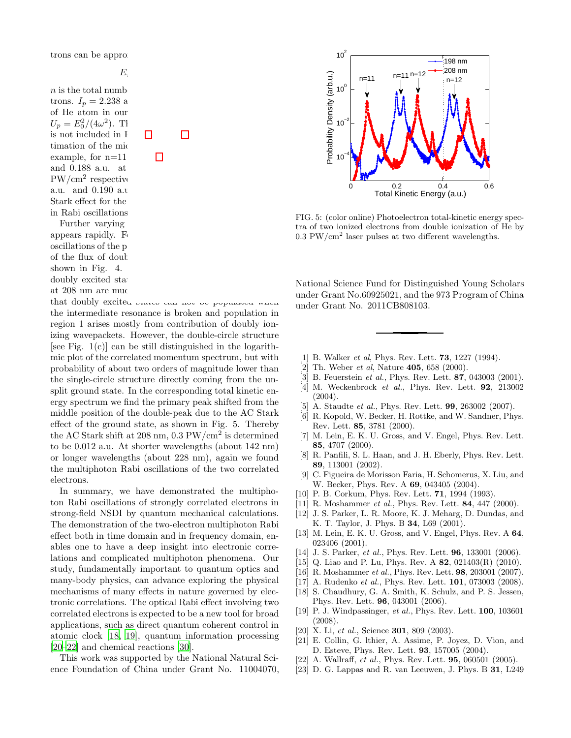trons can be approximately

## <span id="page-3-20"></span> $E_i$

 $n$  is the total numb trons.  $I_p = 2.238$  a of He atom in our  $U_p = E_0^2/(4\omega^2)$ . The state of the state of the state of the ground state of the ground state of the ground state of the ground state of the ground state of the ground state of the ground state of the ground state of the is not included in I timation of the mid example, for  $n=11$ and  $0.188$  a.u. at  $PW/cm^2$  respective a.u. and 0.190 a.u. Stark effect for the in Rabi oscillations.

Further varying appears rapidly. F oscillations of the p of the flux of doub shown in Fig.  $4$ . doubly excited stateat 208 nm are much

that doubly excited states can not be populated when the intermediate resonance is broken and population in region 1 arises mostly from contribution of doubly ionizing wavepackets. However, the double-circle structure [see Fig.  $1(c)$ ] can be still distinguished in the logarithmic plot of the correlated momentum spectrum, but with probability of about two orders of magnitude lower than the single-circle structure directly coming from the unsplit ground state. In the corresponding total kinetic energy spectrum we find the primary peak shifted from the middle position of the double-peak due to the AC Stark effect of the ground state, as shown in Fig. 5. Thereby the AC Stark shift at 208 nm,  $0.3 \text{ PW/cm}^2$  is determined to be 0.012 a.u. At shorter wavelengths (about 142 nm) or longer wavelengths (about 228 nm), again we found the multiphoton Rabi oscillations of the two correlated electrons.

In summary, we have demonstrated the multiphoton Rabi oscillations of strongly correlated electrons in strong-field NSDI by quantum mechanical calculations. The demonstration of the two-electron multiphoton Rabi effect both in time domain and in frequency domain, enables one to have a deep insight into electronic correlations and complicated multiphoton phenomena. Our study, fundamentally important to quantum optics and many-body physics, can advance exploring the physical mechanisms of many effects in nature governed by electronic correlations. The optical Rabi effect involving two correlated electrons is expected to be a new tool for broad applications, such as direct quantum coherent control in atomic clock [\[18,](#page-3-14) [19\]](#page-3-15), quantum information processing [\[20](#page-3-16)[–22\]](#page-3-17) and chemical reactions [\[30\]](#page-4-6).

This work was supported by the National Natural Science Foundation of China under Grant No. 11004070,



FIG. 5: (color online) Photoelectron total-kinetic energy spectra of two ionized electrons from double ionization of He by  $0.3 \text{ PW/cm}^2$  laser pulses at two different wavelengths.

National Science Fund for Distinguished Young Scholars under Grant No.60925021, and the 973 Program of China under Grant No. 2011CB808103.

- <span id="page-3-0"></span>[1] B. Walker et al, Phys. Rev. Lett. **73**, 1227 (1994).
- <span id="page-3-4"></span>[2] Th. Weber *et al*, Nature **405**, 658 (2000).
- <span id="page-3-5"></span>[3] B. Feuerstein *et al.*, Phys. Rev. Lett. **87**, 043003 (2001).
- [4] M. Weckenbrock et al., Phys. Rev. Lett. **92**, 213002 (2004).
- <span id="page-3-1"></span>[5] A. Staudte *et al.*, Phys. Rev. Lett. **99**, 263002 (2007).
- <span id="page-3-2"></span>[6] R. Kopold, W. Becker, H. Rottke, and W. Sandner, Phys. Rev. Lett. 85, 3781 (2000).
- <span id="page-3-18"></span>[7] M. Lein, E. K. U. Gross, and V. Engel, Phys. Rev. Lett. 85, 4707 (2000).
- [8] R. Panfili, S. L. Haan, and J. H. Eberly, Phys. Rev. Lett. 89, 113001 (2002).
- <span id="page-3-3"></span>[9] C. Figueira de Morisson Faria, H. Schomerus, X. Liu, and W. Becker, Phys. Rev. A 69, 043405 (2004).
- <span id="page-3-6"></span>[10] P. B. Corkum, Phys. Rev. Lett. **71**, 1994 (1993).
- <span id="page-3-7"></span>[11] R. Moshammer *et al.*, Phys. Rev. Lett. **84**, 447 (2000).
- <span id="page-3-8"></span>[12] J. S. Parker, L. R. Moore, K. J. Meharg, D. Dundas, and K. T. Taylor, J. Phys. B 34, L69 (2001).
- <span id="page-3-9"></span>[13] M. Lein, E. K. U. Gross, and V. Engel, Phys. Rev. A 64, 023406 (2001).
- <span id="page-3-10"></span>[14] J. S. Parker, *et al.*, Phys. Rev. Lett. **96**, 133001 (2006).
- <span id="page-3-11"></span>[15] Q. Liao and P. Lu, Phys. Rev. A 82, 021403(R) (2010).
- <span id="page-3-12"></span>[16] R. Moshammer *et al.*, Phys. Rev. Lett. **98**, 203001 (2007).
- <span id="page-3-13"></span>[17] A. Rudenko *et al.*, Phys. Rev. Lett. **101**, 073003 (2008).
- <span id="page-3-14"></span>[18] S. Chaudhury, G. A. Smith, K. Schulz, and P. S. Jessen, Phys. Rev. Lett. 96, 043001 (2006).
- <span id="page-3-15"></span>[19] P. J. Windpassinger, et al., Phys. Rev. Lett. **100**, 103601 (2008).
- <span id="page-3-16"></span>[20] X. Li, et al., Science **301**, 809 (2003).
- [21] E. Collin, G. lthier, A. Assime, P. Joyez, D. Vion, and D. Esteve, Phys. Rev. Lett. 93, 157005 (2004).
- <span id="page-3-17"></span>[22] A. Wallraff, et al., Phys. Rev. Lett. **95**, 060501 (2005).
- <span id="page-3-19"></span>[23] D. G. Lappas and R. van Leeuwen, J. Phys. B 31, L249